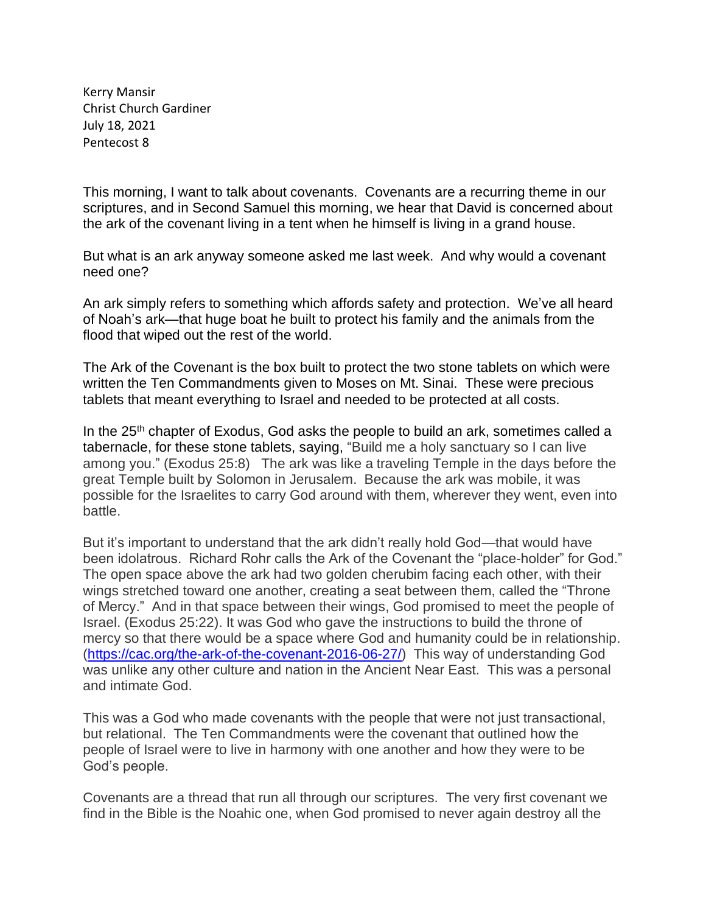Kerry Mansir Christ Church Gardiner July 18, 2021 Pentecost 8

This morning, I want to talk about covenants. Covenants are a recurring theme in our scriptures, and in Second Samuel this morning, we hear that David is concerned about the ark of the covenant living in a tent when he himself is living in a grand house.

But what is an ark anyway someone asked me last week. And why would a covenant need one?

An ark simply refers to something which affords safety and protection. We've all heard of Noah's ark—that huge boat he built to protect his family and the animals from the flood that wiped out the rest of the world.

The Ark of the Covenant is the box built to protect the two stone tablets on which were written the Ten Commandments given to Moses on Mt. Sinai. These were precious tablets that meant everything to Israel and needed to be protected at all costs.

In the 25<sup>th</sup> chapter of Exodus, God asks the people to build an ark, sometimes called a tabernacle, for these stone tablets, saying, "Build me a holy sanctuary so I can live among you." (Exodus 25:8) The ark was like a traveling Temple in the days before the great Temple built by Solomon in Jerusalem. Because the ark was mobile, it was possible for the Israelites to carry God around with them, wherever they went, even into battle.

But it's important to understand that the ark didn't really hold God—that would have been idolatrous. Richard Rohr calls the Ark of the Covenant the "place-holder" for God." The open space above the ark had two golden cherubim facing each other, with their wings stretched toward one another, creating a seat between them, called the "Throne of Mercy." And in that space between their wings, God promised to meet the people of Israel. (Exodus 25:22). It was God who gave the instructions to build the throne of mercy so that there would be a space where God and humanity could be in relationship. [\(https://cac.org/the-ark-of-the-covenant-2016-06-27/\)](https://cac.org/the-ark-of-the-covenant-2016-06-27/) This way of understanding God was unlike any other culture and nation in the Ancient Near East. This was a personal and intimate God.

This was a God who made covenants with the people that were not just transactional, but relational. The Ten Commandments were the covenant that outlined how the people of Israel were to live in harmony with one another and how they were to be God's people.

Covenants are a thread that run all through our scriptures. The very first covenant we find in the Bible is the Noahic one, when God promised to never again destroy all the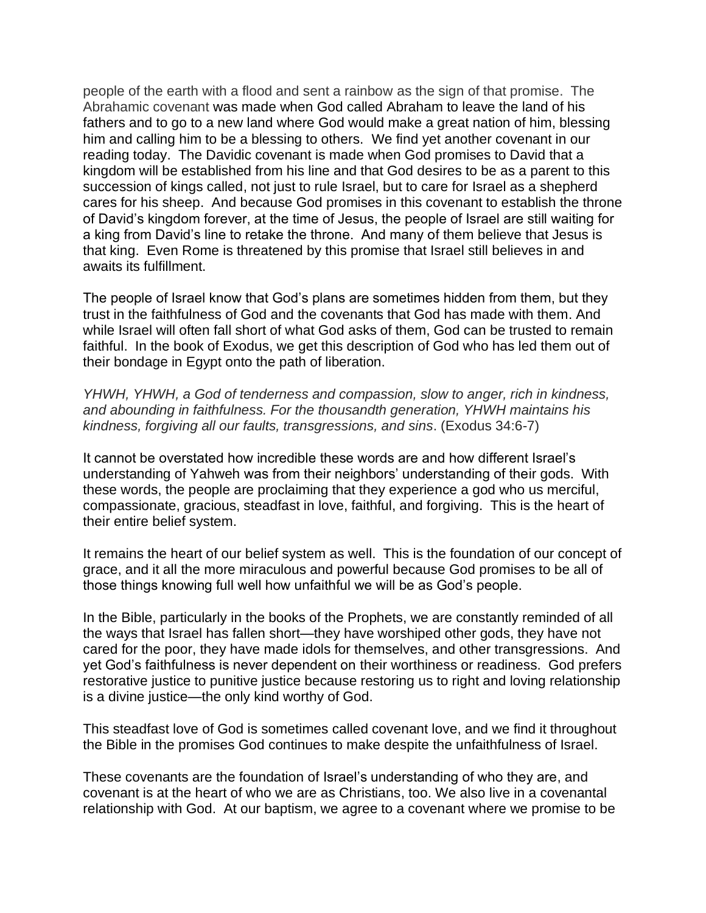people of the earth with a flood and sent a rainbow as the sign of that promise. The Abrahamic covenant was made when God called Abraham to leave the land of his fathers and to go to a new land where God would make a great nation of him, blessing him and calling him to be a blessing to others. We find yet another covenant in our reading today. The Davidic covenant is made when God promises to David that a kingdom will be established from his line and that God desires to be as a parent to this succession of kings called, not just to rule Israel, but to care for Israel as a shepherd cares for his sheep. And because God promises in this covenant to establish the throne of David's kingdom forever, at the time of Jesus, the people of Israel are still waiting for a king from David's line to retake the throne. And many of them believe that Jesus is that king. Even Rome is threatened by this promise that Israel still believes in and awaits its fulfillment.

The people of Israel know that God's plans are sometimes hidden from them, but they trust in the faithfulness of God and the covenants that God has made with them. And while Israel will often fall short of what God asks of them, God can be trusted to remain faithful. In the book of Exodus, we get this description of God who has led them out of their bondage in Egypt onto the path of liberation.

*YHWH, YHWH, a God of tenderness and compassion, slow to anger, rich in kindness, and abounding in faithfulness. For the thousandth generation, YHWH maintains his kindness, forgiving all our faults, transgressions, and sins*. (Exodus 34:6-7)

It cannot be overstated how incredible these words are and how different Israel's understanding of Yahweh was from their neighbors' understanding of their gods. With these words, the people are proclaiming that they experience a god who us merciful, compassionate, gracious, steadfast in love, faithful, and forgiving. This is the heart of their entire belief system.

It remains the heart of our belief system as well. This is the foundation of our concept of grace, and it all the more miraculous and powerful because God promises to be all of those things knowing full well how unfaithful we will be as God's people.

In the Bible, particularly in the books of the Prophets, we are constantly reminded of all the ways that Israel has fallen short—they have worshiped other gods, they have not cared for the poor, they have made idols for themselves, and other transgressions. And yet God's faithfulness is never dependent on their worthiness or readiness. God prefers restorative justice to punitive justice because restoring us to right and loving relationship is a divine justice—the only kind worthy of God.

This steadfast love of God is sometimes called covenant love, and we find it throughout the Bible in the promises God continues to make despite the unfaithfulness of Israel.

These covenants are the foundation of Israel's understanding of who they are, and covenant is at the heart of who we are as Christians, too. We also live in a covenantal relationship with God. At our baptism, we agree to a covenant where we promise to be